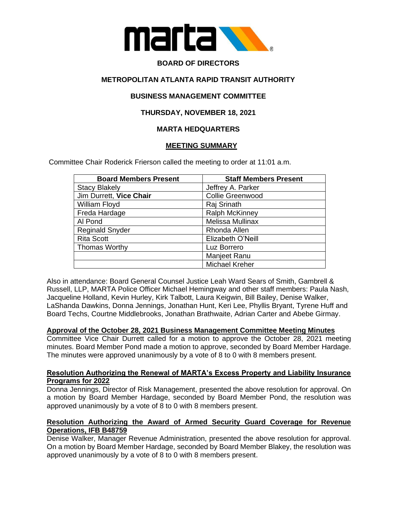

# **BOARD OF DIRECTORS**

# **METROPOLITAN ATLANTA RAPID TRANSIT AUTHORITY**

## **BUSINESS MANAGEMENT COMMITTEE**

## **THURSDAY, NOVEMBER 18, 2021**

## **MARTA HEDQUARTERS**

#### **MEETING SUMMARY**

Committee Chair Roderick Frierson called the meeting to order at 11:01 a.m.

| <b>Board Members Present</b> | <b>Staff Members Present</b> |
|------------------------------|------------------------------|
| <b>Stacy Blakely</b>         | Jeffrey A. Parker            |
| Jim Durrett, Vice Chair      | <b>Collie Greenwood</b>      |
| <b>William Floyd</b>         | Raj Srinath                  |
| Freda Hardage                | <b>Ralph McKinney</b>        |
| Al Pond                      | Melissa Mullinax             |
| <b>Reginald Snyder</b>       | Rhonda Allen                 |
| <b>Rita Scott</b>            | Elizabeth O'Neill            |
| <b>Thomas Worthy</b>         | Luz Borrero                  |
|                              | Manjeet Ranu                 |
|                              | <b>Michael Kreher</b>        |

Also in attendance: Board General Counsel Justice Leah Ward Sears of Smith, Gambrell & Russell, LLP, MARTA Police Officer Michael Hemingway and other staff members: Paula Nash, Jacqueline Holland, Kevin Hurley, Kirk Talbott, Laura Keigwin, Bill Bailey, Denise Walker, LaShanda Dawkins, Donna Jennings, Jonathan Hunt, Keri Lee, Phyllis Bryant, Tyrene Huff and Board Techs, Courtne Middlebrooks, Jonathan Brathwaite, Adrian Carter and Abebe Girmay.

#### **Approval of the October 28, 2021 Business Management Committee Meeting Minutes**

Committee Vice Chair Durrett called for a motion to approve the October 28, 2021 meeting minutes. Board Member Pond made a motion to approve, seconded by Board Member Hardage. The minutes were approved unanimously by a vote of 8 to 0 with 8 members present.

#### **Resolution Authorizing the Renewal of MARTA's Excess Property and Liability Insurance Programs for 2022**

Donna Jennings, Director of Risk Management, presented the above resolution for approval. On a motion by Board Member Hardage, seconded by Board Member Pond, the resolution was approved unanimously by a vote of 8 to 0 with 8 members present.

### **Resolution Authorizing the Award of Armed Security Guard Coverage for Revenue Operations, IFB B48759**

Denise Walker, Manager Revenue Administration, presented the above resolution for approval. On a motion by Board Member Hardage, seconded by Board Member Blakey, the resolution was approved unanimously by a vote of 8 to 0 with 8 members present.